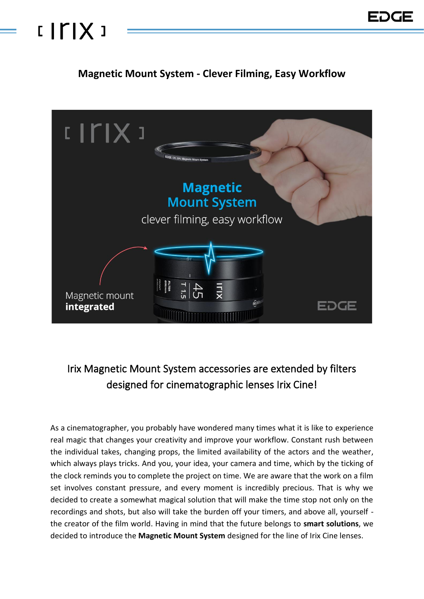## $IITIX$

### **Magnetic Mount System - Clever Filming, Easy Workflow**



### Irix Magnetic Mount System accessories are extended by filters designed for cinematographic lenses Irix Cine!

As a cinematographer, you probably have wondered many times what it is like to experience real magic that changes your creativity and improve your workflow. Constant rush between the individual takes, changing props, the limited availability of the actors and the weather, which always plays tricks. And you, your idea, your camera and time, which by the ticking of the clock reminds you to complete the project on time. We are aware that the work on a film set involves constant pressure, and every moment is incredibly precious. That is why we decided to create a somewhat magical solution that will make the time stop not only on the recordings and shots, but also will take the burden off your timers, and above all, yourself the creator of the film world. Having in mind that the future belongs to **smart solutions**, we decided to introduce the **Magnetic Mount System** designed for the line of Irix Cine lenses.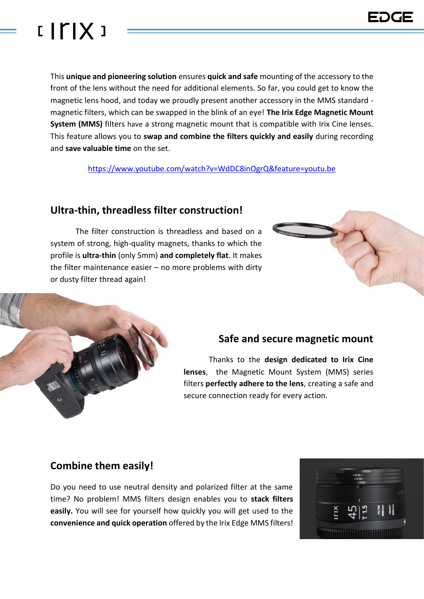

This **unique and pioneering solution** ensures **quick and safe** mounting of the accessory to the front of the lens without the need for additional elements. So far, you could get to know the magnetic lens hood, and today we proudly present another accessory in the MMS standard magnetic filters, which can be swapped in the blink of an eye! **The Irix Edge Magnetic Mount System (MMS)** filters have a strong magnetic mount that is compatible with Irix Cine lenses. This feature allows you to **swap and combine the filters quickly and easily** during recording and **save valuable time** on the set.

<https://www.youtube.com/watch?v=WdDC8inOgrQ&feature=youtu.be>

#### **Ultra-thin, threadless filter construction!**

The filter construction is threadless and based on a system of strong, high-quality magnets, thanks to which the profile is **ultra-thin** (only 5mm) **and completely flat**. It makes the filter maintenance easier – no more problems with dirty or dusty filter thread again!

#### **Safe and secure magnetic mount**

Thanks to the **design dedicated to Irix Cine lenses**, the Magnetic Mount System (MMS) series filters **perfectly adhere to the lens**, creating a safe and secure connection ready for every action.

#### **Combine them easily!**

Do you need to use neutral density and polarized filter at the same time? No problem! MMS filters design enables you to **stack filters easily.** You will see for yourself how quickly you will get used to the **convenience and quick operation** offered by the Irix Edge MMS filters!



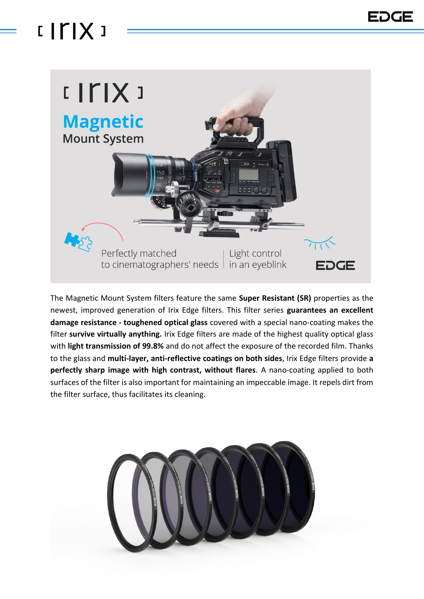## $IITIX$



The Magnetic Mount System filters feature the same **Super Resistant (SR)** properties as the newest, improved generation of Irix Edge filters. This filter series **guarantees an excellent damage resistance - toughened optical glass** covered with a special nano-coating makes the filter **survive virtually anything.** Irix Edge filters are made of the highest quality optical glass with **light transmission of 99.8%** and do not affect the exposure of the recorded film. Thanks to the glass and **multi-layer, anti-reflective coatings on both sides**, Irix Edge filters provide **a perfectly sharp image with high contrast, without flares**. A nano-coating applied to both surfaces of the filter is also important for maintaining an impeccable image. It repels dirt from the filter surface, thus facilitates its cleaning.